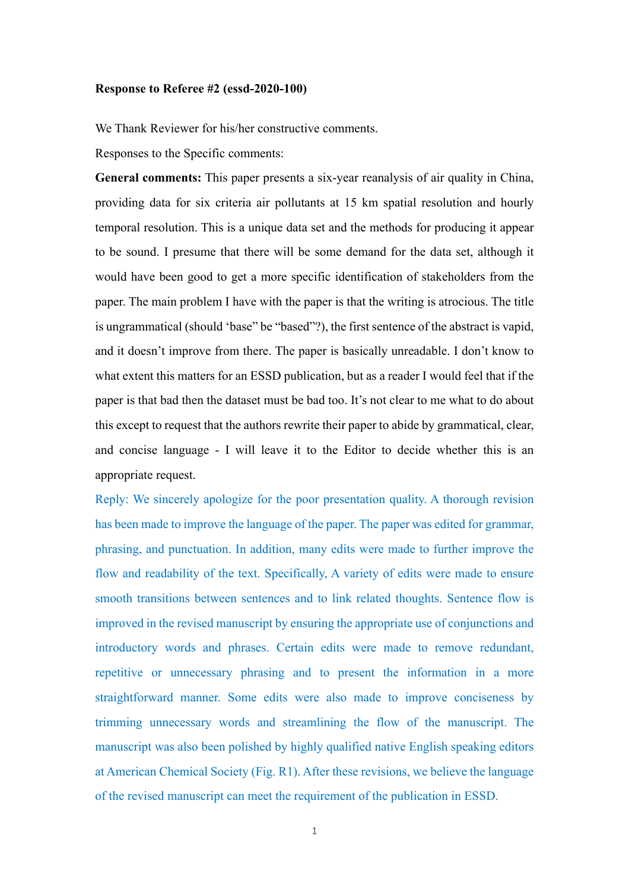## **Response to Referee #2 (essd-2020-100)**

We Thank Reviewer for his/her constructive comments.

Responses to the Specific comments:

**General comments:** This paper presents a six-year reanalysis of air quality in China, providing data for six criteria air pollutants at 15 km spatial resolution and hourly temporal resolution. This is a unique data set and the methods for producing it appear to be sound. I presume that there will be some demand for the data set, although it would have been good to get a more specific identification of stakeholders from the paper. The main problem I have with the paper is that the writing is atrocious. The title is ungrammatical (should 'base" be "based"?), the first sentence of the abstract is vapid, and it doesn't improve from there. The paper is basically unreadable. I don't know to what extent this matters for an ESSD publication, but as a reader I would feel that if the paper is that bad then the dataset must be bad too. It's not clear to me what to do about this except to request that the authors rewrite their paper to abide by grammatical, clear, and concise language - I will leave it to the Editor to decide whether this is an appropriate request.

Reply: We sincerely apologize for the poor presentation quality. A thorough revision has been made to improve the language of the paper. The paper was edited for grammar, phrasing, and punctuation. In addition, many edits were made to further improve the flow and readability of the text. Specifically, A variety of edits were made to ensure smooth transitions between sentences and to link related thoughts. Sentence flow is improved in the revised manuscript by ensuring the appropriate use of conjunctions and introductory words and phrases. Certain edits were made to remove redundant, repetitive or unnecessary phrasing and to present the information in a more straightforward manner. Some edits were also made to improve conciseness by trimming unnecessary words and streamlining the flow of the manuscript. The manuscript was also been polished by highly qualified native English speaking editors at American Chemical Society (Fig. R1). After these revisions, we believe the language of the revised manuscript can meet the requirement of the publication in ESSD.